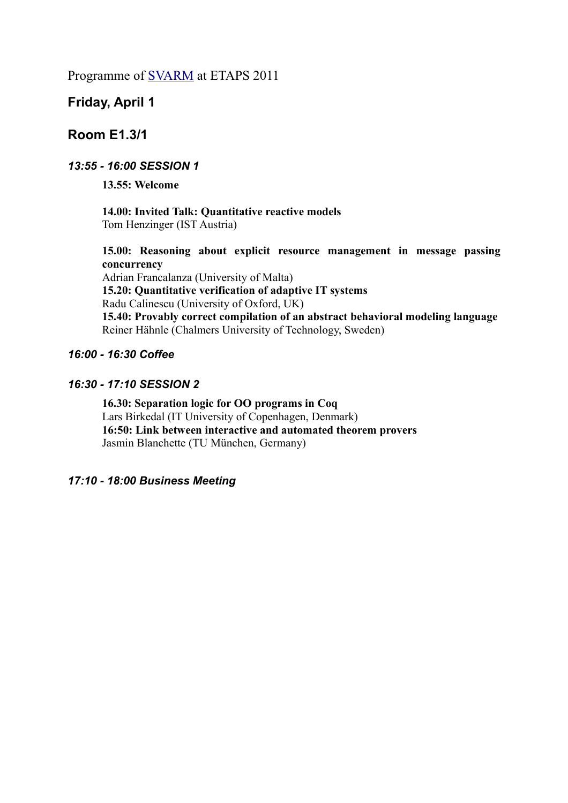Programme of [SVARM](http://richmodels.epfl.ch/svarm11) at ETAPS 2011

# **Friday, April 1**

# **Room E1.3/1**

## *13:55 - 16:00 SESSION 1*

**13.55: Welcome**

**14.00: Invited Talk: Quantitative reactive models** Tom Henzinger (IST Austria)

**15.00: Reasoning about explicit resource management in message passing concurrency** Adrian Francalanza (University of Malta)

**15.20: Quantitative verification of adaptive IT systems** Radu Calinescu (University of Oxford, UK) **15.40: Provably correct compilation of an abstract behavioral modeling language** Reiner Hähnle (Chalmers University of Technology, Sweden)

## *16:00 - 16:30 Coffee*

## *16:30 - 17:10 SESSION 2*

**16.30: Separation logic for OO programs in Coq** Lars Birkedal (IT University of Copenhagen, Denmark) **16:50: Link between interactive and automated theorem provers**  Jasmin Blanchette (TU München, Germany)

## *17:10 - 18:00 Business Meeting*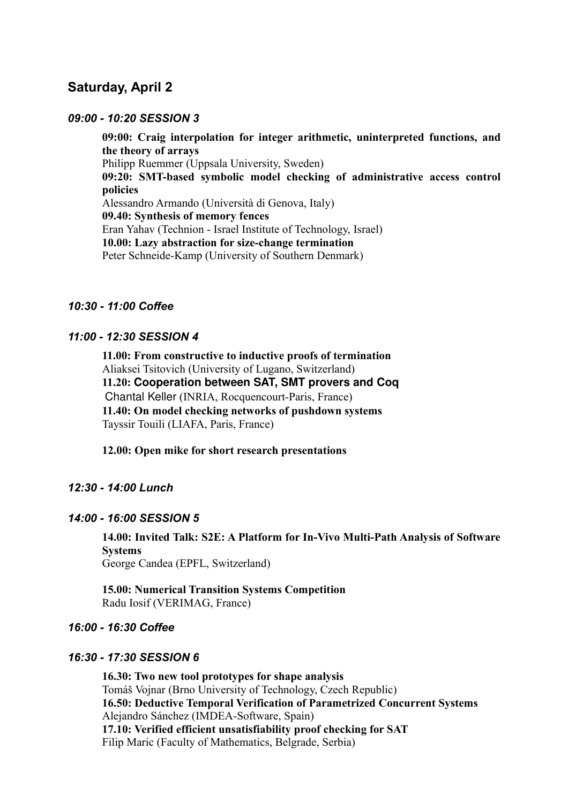# **Saturday, April 2**

#### *09:00 - 10:20 SESSION 3*

**09:00: Craig interpolation for integer arithmetic, uninterpreted functions, and the theory of arrays** Philipp Ruemmer (Uppsala University, Sweden) **09:20: SMT-based symbolic model checking of administrative access control policies** Alessandro Armando (Università di Genova, Italy) **09.40: Synthesis of memory fences** Eran Yahav (Technion - Israel Institute of Technology, Israel) **10.00: Lazy abstraction for size-change termination** Peter Schneide-Kamp (University of Southern Denmark)

### *10:30 - 11:00 Coffee*

#### *11:00 - 12:30 SESSION 4*

**11.00: From constructive to inductive proofs of termination** Aliaksei Tsitovich (University of Lugano, Switzerland) **11.20: Cooperation between SAT, SMT provers and Coq** Chantal Keller (INRIA, Rocquencourt-Paris, France) **11.40: On model checking networks of pushdown systems** Tayssir Touili (LIAFA, Paris, France)

**12.00: Open mike for short research presentations**

### *12:30 - 14:00 Lunch*

#### *14:00 - 16:00 SESSION 5*

**14.00: Invited Talk: S2E: A Platform for In-Vivo Multi-Path Analysis of Software Systems** George Candea (EPFL, Switzerland)

**15.00: Numerical Transition Systems Competition**  Radu Iosif (VERIMAG, France)

#### *16:00 - 16:30 Coffee*

### *16:30 - 17:30 SESSION 6*

**16.30: Two new tool prototypes for shape analysis** Tomáš Vojnar (Brno University of Technology, Czech Republic) **16.50: Deductive Temporal Verification of Parametrized Concurrent Systems** Alejandro Sánchez (IMDEA-Software, Spain) **17.10: Verified efficient unsatisfiability proof checking for SAT** Filip Maric (Faculty of Mathematics, Belgrade, Serbia)